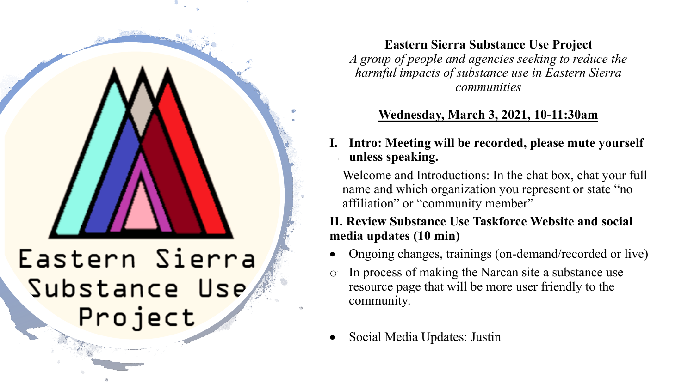# Eastern Sierra Substance Use Project

**Eastern Sierra Substance Use Project** *A group of people and agencies seeking to reduce the harmful impacts of substance use in Eastern Sierra communities*

## **Wednesday, March 3, 2021, 10-11:30am**

## Intro: Meeting will be recorded, please mute yourself **unless speaking.**

Welcome and Introductions: In the chat box, chat your full name and which organization you represent or state "no affiliation" or "community member"

## **II. Review Substance Use Taskforce Website and social media updates (10 min)**

- Ongoing changes, trainings (on-demand/recorded or live)
- $\circ$  In process of making the Narcan site a substance use resource page that will be more user friendly to the community.
- Social Media Updates: Justin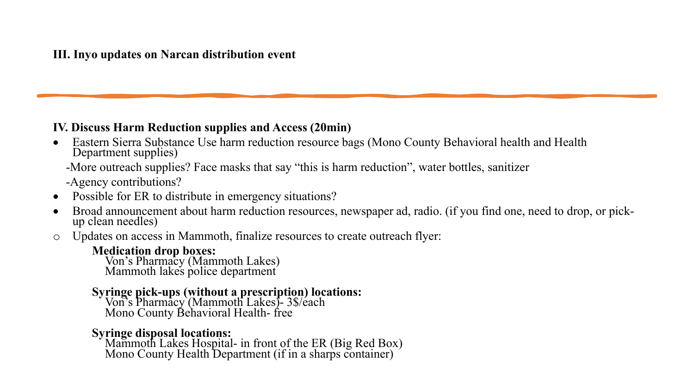### **IV. Discuss Harm Reduction supplies and Access (20min)**

• Eastern Sierra Substance Use harm reduction resource bags (Mono County Behavioral health and Health Department supplies)

-More outreach supplies? Face masks that say "this is harm reduction", water bottles, sanitizer

-Agency contributions?

- Possible for ER to distribute in emergency situations?
- Broad announcement about harm reduction resources, newspaper ad, radio. (if you find one, need to drop, or pick- up clean needles)
- o Updates on access in Mammoth, finalize resources to create outreach flyer:

**Medication drop boxes:** Von's Pharmacy (Mammoth Lakes) Mammoth lakes police department

## **Syringe pick-ups (without a prescription) locations:** Von's Pharmacy (Mammoth Lakes)- 3\$/each

Mono County Behavioral Health- free

**Syringe disposal locations:** Mammoth Lakes Hospital- in front of the ER (Big Red Box) Mono County Health Department (if in a sharps container)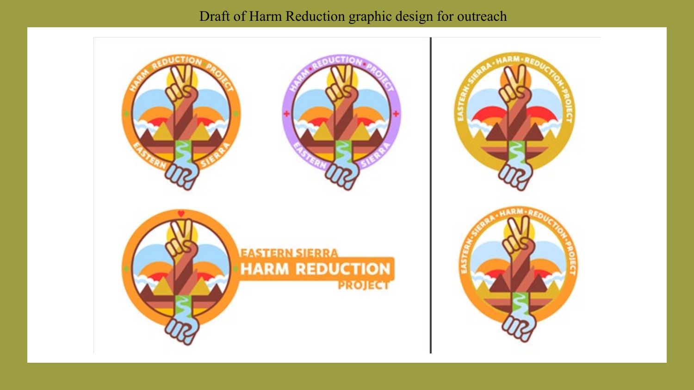## Draft of Harm Reduction graphic design for outreach